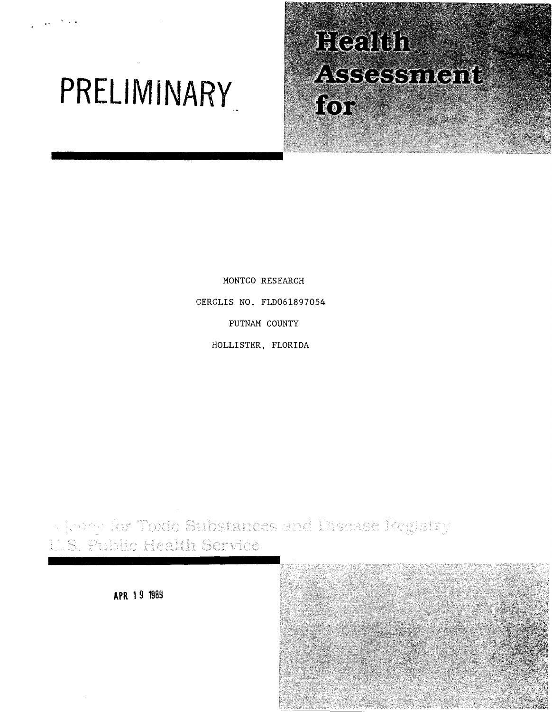# **PREll M I NARY**

, .

# Health **ASSESSMENT** for

MONTCO RESEARCH CERCLIS NO. FLD061897054 PUTNAM COUNTY HOLLISTER, FLORIDA

**Final for Toxic Substances and Disease Registry** S. Public Health Service

**APR 1 9 1989** 

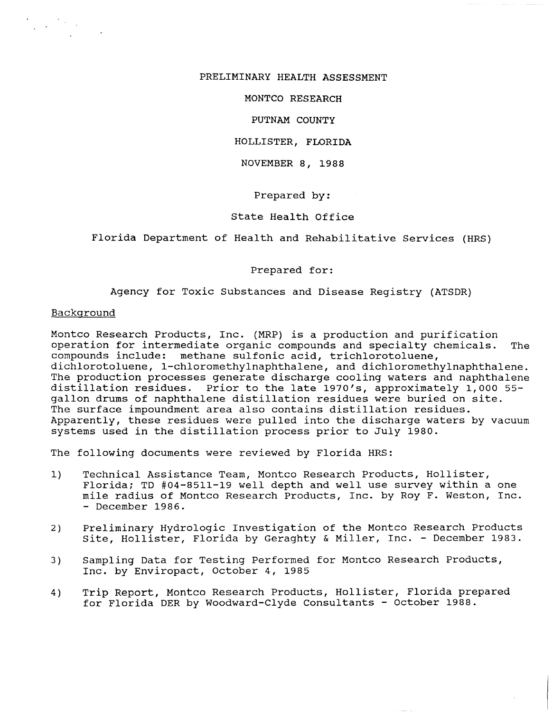#### PRELIMINARY HEALTH ASSESSMENT

MONTCO RESEARCH

#### PUTNAM COUNTY

#### HOLLISTER, FLORIDA

#### NOVEMBER 8, 1988

#### Prepared by:

#### state Health Office

#### Florida Department of Health and Rehabilitative Services (HRS)

#### Prepared for:

### Agency for Toxic Substances and Disease Registry (ATSDR)

#### Background

Montco Research Products, Inc. (MRP) is a production and purification operation for intermediate organic compounds and specialty chemicals. The compounds include: methane sulfonic acid, trichlorotoluene, dichlorotoluene, 1-chloromethylnaphthalene, and dichloromethylnaphthalene. The production processes generate discharge cooling waters and naphthalene distillation residues. Prior to the late 1970's, approximately 1,000 55 gallon drums of naphthalene distillation residues were buried on site. The surface impoundment area also contains distillation residues. Apparently, these residues were pulled into the discharge waters by vacuum systems used in the distillation process prior to July 1980.

The following documents were reviewed by Florida HRS:

- 1) Technical Assistance Team, Montco Research Products, Hollister, Florida; TD #04-8511-19 well depth and well use survey within a one mile radius of Montco Research Products, Inc. by Roy F. Weston, Inc. - December 1986.
- 2) Preliminary Hydrologic Investigation of the Montco Research Products site, Hollister, Florida by Geraghty & Miller, Inc. - December 1983.
- 3) Sampling Data for Testing Performed for Montco Research Products, Inc. by Enviropact, October 4, 1985
- 4) Trip Report, Montco Research Products, Hollister, Florida prepared for Florida DER by Woodward-Clyde Consultants - October 1988.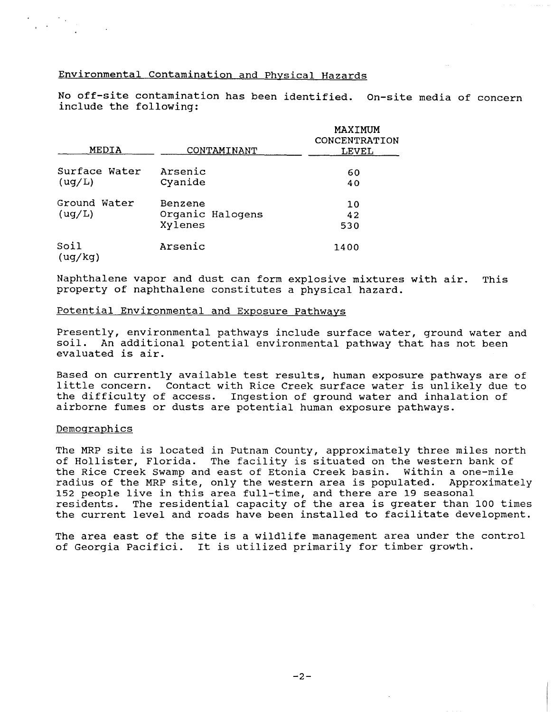## Environmental contamination and Physical Hazards

No off-site contamination has been identified. On-site media of concern include the following:

| MEDIA                   | CONTAMINANT                            | MAXIMUM<br>CONCENTRATION<br>LEVEL |
|-------------------------|----------------------------------------|-----------------------------------|
| Surface Water<br>(ug/L) | Arsenic<br>Cyanide                     | 60<br>40                          |
| Ground Water<br>( uq/L) | Benzene<br>Organic Halogens<br>Xylenes | 10<br>42<br>530                   |
| Soil<br>(ug/kg)         | Arsenic                                | 1400                              |

Naphthalene vapor and dust can form explosive mixtures with air. This property of naphthalene constitutes a physical hazard.

#### Potential Environmental and Exposure Pathways

Presently, environmental pathways include surface water, ground water and soil. An additional potential environmental pathway that has not been evaluated is air.

Based on currently available test results, human exposure pathways are of little concern. Contact with Rice Creek surface water is unlikely due to the difficulty of access. Ingestion of ground water and inhalation of airborne fumes or dusts are potential human exposure pathways.

#### Demographics

The MRP site is located in Putnam County, approximately three miles north of Hollister, Florida. The facility is situated on the western bank of the Rice Creek Swamp and east of Etonia Creek basin. Within a one-mile radius of the MRP site, only the western area is populated. Approximately 152 people live in this area full-time, and there are 19 seasonal residents. The residential capacity of the area is greater than 100 times the current level and roads have been installed to facilitate development.

The area east of the site is a wildlife management area under the control of Georgia Pacifici. It is utilized primarily for timber growth.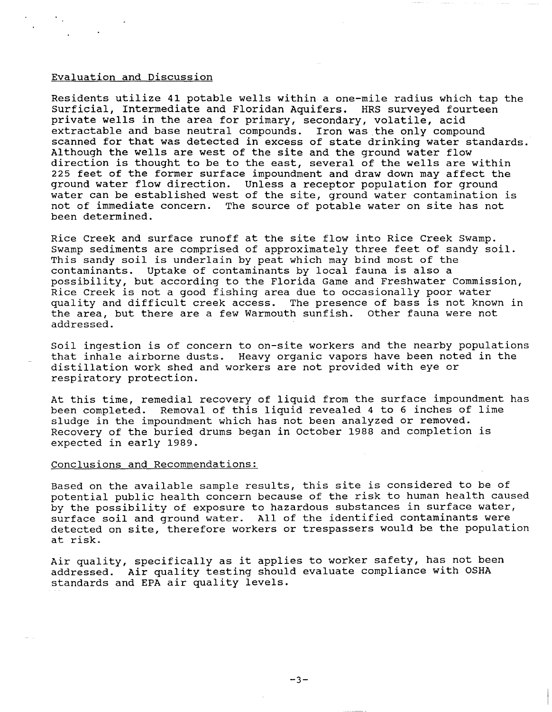#### Evaluation and Discussion

Residents utilize 41 potable wells within a one-mile radius which tap the Surficial, Intermediate and Floridan Aquifers. HRS surveyed fourteen private wells in the area for primary, secondary, volatile, acid extractable and base neutral compounds. Iron was the only compound scanned for that was detected in excess of state drinking water standards. Although the wells are west of the site and the ground water flow direction is thought to be to the east, several of the wells are within 225 feet of the former surface impoundment and draw down may affect the ground water flow direction. Unless a receptor population for ground water can be established west of the site, ground water contamination is not of immediate concern. The source of potable water on site has not been determined.

Rice Creek and surface runoff at the site flow into Rice Creek Swamp. Swamp sediments are comprised of approximately three feet of sandy soil. This sandy soil is underlain by peat which may bind most of the contaminants. Uptake of contaminants by local fauna is also a possibility, but according to the Florida Game and Freshwater Commission, Rice Creek is not a good fishing area due to occasionally poor water quality and difficult creek access. The presence of bass is not known in the area, but there are a few Warmouth sunfish. other fauna were not addressed.

Soil ingestion is of concern to on-site workers and the nearby populations that inhale airborne dusts. Heavy organic vapors have been noted in the distillation work shed and workers are not provided with eye or respiratory protection.

At this time, remedial recovery of liquid from the surface impoundment has been completed. Removal of this liquid revealed 4 to 6 inches of lime sludge in the impoundment which has not been analyzed or removed. Recovery of the buried drums began in october 1988 and completion is expected in early 1989.

#### Conclusions and Recommendations:

Based on the available sample results, this site is considered to be of potential public health concern because of the risk to human health caused by the possibility of exposure to hazardous substances in surface water, surface soil and ground water. All of the identified contaminants were detected on site, therefore workers or trespassers would be the population at risk.

Air quality, specifically as it applies to worker safety, has not been addressed. Air quality testing should evaluate compliance with OSHA standards and EPA air quality levels.